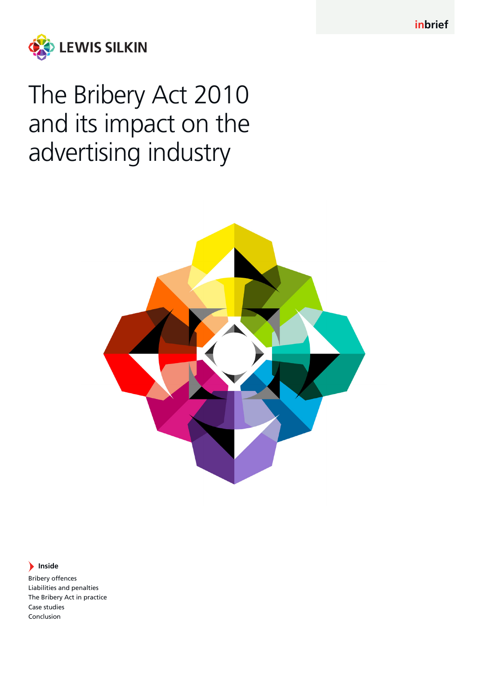

# The Bribery Act 2010 and its impact on the advertising industry



# **Inside**

Bribery offences Liabilities and penalties The Bribery Act in practice Case studies Conclusion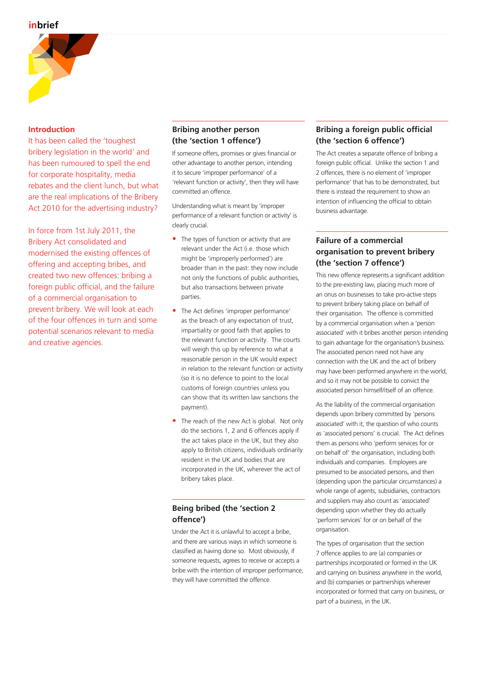

# **Introduction**

It has been called the 'toughest bribery legislation in the world' and has been rumoured to spell the end for corporate hospitality, media rebates and the client lunch, but what are the real implications of the Bribery Act 2010 for the advertising industry?

In force from 1st July 2011, the Bribery Act consolidated and modernised the existing offences of offering and accepting bribes, and created two new offences: bribing a foreign public official, and the failure of a commercial organisation to prevent bribery. We will look at each of the four offences in turn and some potential scenarios relevant to media and creative agencies.

# **Bribing another person (the 'section 1 offence')**

If someone offers, promises or gives financial or other advantage to another person, intending it to secure 'improper performance' of a 'relevant function or activity', then they will have committed an offence.

Understanding what is meant by 'improper performance of a relevant function or activity' is clearly crucial.

- **•** The types of function or activity that are relevant under the Act (i.e. those which might be 'improperly performed') are broader than in the past: they now include not only the functions of public authorities, but also transactions between private parties.
- **•** The Act defines 'improper performance' as the breach of any expectation of trust, impartiality or good faith that applies to the relevant function or activity. The courts will weigh this up by reference to what a reasonable person in the UK would expect in relation to the relevant function or activity (so it is no defence to point to the local customs of foreign countries unless you can show that its written law sanctions the payment).
- **•** The reach of the new Act is global. Not only do the sections 1, 2 and 6 offences apply if the act takes place in the UK, but they also apply to British citizens, individuals ordinarily resident in the UK and bodies that are incorporated in the UK, wherever the act of bribery takes place.

# **Being bribed (the 'section 2 offence')**

Under the Act it is unlawful to accept a bribe, and there are various ways in which someone is classified as having done so. Most obviously, if someone requests, agrees to receive or accepts a bribe with the intention of improper performance, they will have committed the offence.

# **Bribing a foreign public official (the 'section 6 offence')**

The Act creates a separate offence of bribing a foreign public official. Unlike the section 1 and 2 offences, there is no element of 'improper performance' that has to be demonstrated, but there is instead the requirement to show an intention of influencing the official to obtain business advantage.

# **Failure of a commercial organisation to prevent bribery (the 'section 7 offence')**

This new offence represents a significant addition to the pre-existing law, placing much more of an onus on businesses to take pro-active steps to prevent bribery taking place on behalf of their organisation. The offence is committed by a commercial organisation when a 'person associated' with it bribes another person intending to gain advantage for the organisation's business. The associated person need not have any connection with the UK and the act of bribery may have been performed anywhere in the world, and so it may not be possible to convict the associated person himself/itself of an offence.

As the liability of the commercial organisation depends upon bribery committed by 'persons associated' with it, the question of who counts as 'associated persons' is crucial. The Act defines them as persons who 'perform services for or on behalf of' the organisation, including both individuals and companies. Employees are presumed to be associated persons, and then (depending upon the particular circumstances) a whole range of agents, subsidiaries, contractors and suppliers may also count as 'associated' depending upon whether they do actually 'perform services' for or on behalf of the organisation.

The types of organisation that the section 7 offence applies to are (a) companies or partnerships incorporated or formed in the UK and carrying on business anywhere in the world, and (b) companies or partnerships wherever incorporated or formed that carry on business, or part of a business, in the UK.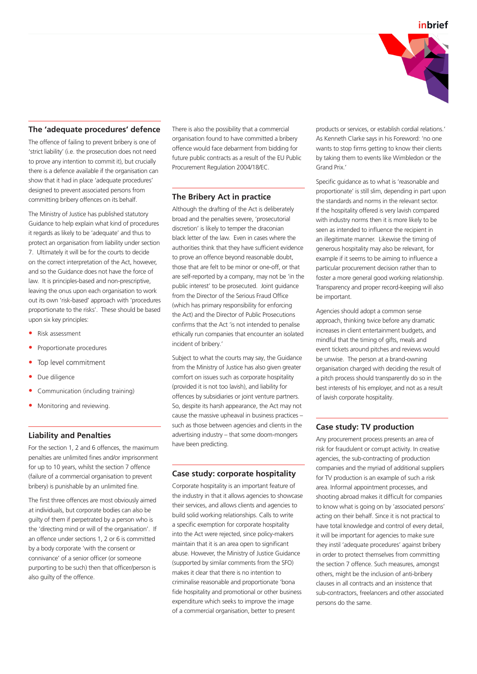

### **The 'adequate procedures' defence**

The offence of failing to prevent bribery is one of 'strict liability' (i.e. the prosecution does not need to prove any intention to commit it), but crucially there is a defence available if the organisation can show that it had in place 'adequate procedures' designed to prevent associated persons from committing bribery offences on its behalf.

The Ministry of Justice has published statutory Guidance to help explain what kind of procedures it regards as likely to be 'adequate' and thus to protect an organisation from liability under section 7. Ultimately it will be for the courts to decide on the correct interpretation of the Act, however, and so the Guidance does not have the force of law. It is principles-based and non-prescriptive, leaving the onus upon each organisation to work out its own 'risk-based' approach with 'procedures proportionate to the risks'. These should be based upon six key principles:

- **•** Risk assessment
- **•** Proportionate procedures
- **•** Top level commitment
- **•** Due diligence
- **•** Communication (including training)
- **•** Monitoring and reviewing.

#### **Liability and Penalties**

For the section 1, 2 and 6 offences, the maximum penalties are unlimited fines and/or imprisonment for up to 10 years, whilst the section 7 offence (failure of a commercial organisation to prevent bribery) is punishable by an unlimited fine.

The first three offences are most obviously aimed at individuals, but corporate bodies can also be guilty of them if perpetrated by a person who is the 'directing mind or will of the organisation'. If an offence under sections 1, 2 or 6 is committed by a body corporate 'with the consent or connivance' of a senior officer (or someone purporting to be such) then that officer/person is also guilty of the offence.

There is also the possibility that a commercial organisation found to have committed a bribery offence would face debarment from bidding for future public contracts as a result of the EU Public Procurement Regulation 2004/18/EC.

## **The Bribery Act in practice**

Although the drafting of the Act is deliberately broad and the penalties severe, 'prosecutorial discretion' is likely to temper the draconian black letter of the law. Even in cases where the authorities think that they have sufficient evidence to prove an offence beyond reasonable doubt, those that are felt to be minor or one-off, or that are self-reported by a company, may not be 'in the public interest' to be prosecuted. Joint guidance from the Director of the Serious Fraud Office (which has primary responsibility for enforcing the Act) and the Director of Public Prosecutions confirms that the Act 'is not intended to penalise ethically run companies that encounter an isolated incident of bribery.'

Subject to what the courts may say, the Guidance from the Ministry of Justice has also given greater comfort on issues such as corporate hospitality (provided it is not too lavish), and liability for offences by subsidiaries or joint venture partners. So, despite its harsh appearance, the Act may not cause the massive upheaval in business practices – such as those between agencies and clients in the advertising industry – that some doom-mongers have been predicting.

#### **Case study: corporate hospitality**

Corporate hospitality is an important feature of the industry in that it allows agencies to showcase their services, and allows clients and agencies to build solid working relationships. Calls to write a specific exemption for corporate hospitality into the Act were rejected, since policy-makers maintain that it is an area open to significant abuse. However, the Ministry of Justice Guidance (supported by similar comments from the SFO) makes it clear that there is no intention to criminalise reasonable and proportionate 'bona fide hospitality and promotional or other business expenditure which seeks to improve the image of a commercial organisation, better to present

products or services, or establish cordial relations.' As Kenneth Clarke says in his Foreword: 'no one wants to stop firms getting to know their clients by taking them to events like Wimbledon or the Grand Prix.'

Specific guidance as to what is 'reasonable and proportionate' is still slim, depending in part upon the standards and norms in the relevant sector. If the hospitality offered is very lavish compared with industry norms then it is more likely to be seen as intended to influence the recipient in an illegitimate manner. Likewise the timing of generous hospitality may also be relevant, for example if it seems to be aiming to influence a particular procurement decision rather than to foster a more general good working relationship. Transparency and proper record-keeping will also be important.

Agencies should adopt a common sense approach, thinking twice before any dramatic increases in client entertainment budgets, and mindful that the timing of gifts, meals and event tickets around pitches and reviews would be unwise. The person at a brand-owning organisation charged with deciding the result of a pitch process should transparently do so in the best interests of his employer, and not as a result of lavish corporate hospitality.

## **Case study: TV production**

Any procurement process presents an area of risk for fraudulent or corrupt activity. In creative agencies, the sub-contracting of production companies and the myriad of additional suppliers for TV production is an example of such a risk area. Informal appointment processes, and shooting abroad makes it difficult for companies to know what is going on by 'associated persons' acting on their behalf. Since it is not practical to have total knowledge and control of every detail, it will be important for agencies to make sure they instil 'adequate procedures' against bribery in order to protect themselves from committing the section 7 offence. Such measures, amongst others, might be the inclusion of anti-bribery clauses in all contracts and an insistence that sub-contractors, freelancers and other associated persons do the same.